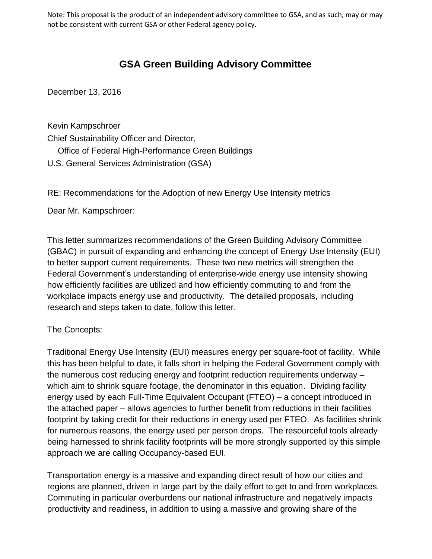Note: This proposal is the product of an independent advisory committee to GSA, and as such, may or may not be consistent with current GSA or other Federal agency policy.

## **GSA Green Building Advisory Committee**

December 13, 2016

Kevin Kampschroer Chief Sustainability Officer and Director, Office of Federal High-Performance Green Buildings U.S. General Services Administration (GSA)

RE: Recommendations for the Adoption of new Energy Use Intensity metrics

Dear Mr. Kampschroer:

This letter summarizes recommendations of the Green Building Advisory Committee (GBAC) in pursuit of expanding and enhancing the concept of Energy Use Intensity (EUI) to better support current requirements. These two new metrics will strengthen the Federal Government's understanding of enterprise-wide energy use intensity showing how efficiently facilities are utilized and how efficiently commuting to and from the workplace impacts energy use and productivity. The detailed proposals, including research and steps taken to date, follow this letter.

## The Concepts:

Traditional Energy Use Intensity (EUI) measures energy per square-foot of facility. While this has been helpful to date, it falls short in helping the Federal Government comply with the numerous cost reducing energy and footprint reduction requirements underway – which aim to shrink square footage, the denominator in this equation. Dividing facility energy used by each Full-Time Equivalent Occupant (FTEO) – a concept introduced in the attached paper – allows agencies to further benefit from reductions in their facilities footprint by taking credit for their reductions in energy used per FTEO. As facilities shrink for numerous reasons, the energy used per person drops. The resourceful tools already being harnessed to shrink facility footprints will be more strongly supported by this simple approach we are calling Occupancy-based EUI.

Transportation energy is a massive and expanding direct result of how our cities and regions are planned, driven in large part by the daily effort to get to and from workplaces. Commuting in particular overburdens our national infrastructure and negatively impacts productivity and readiness, in addition to using a massive and growing share of the